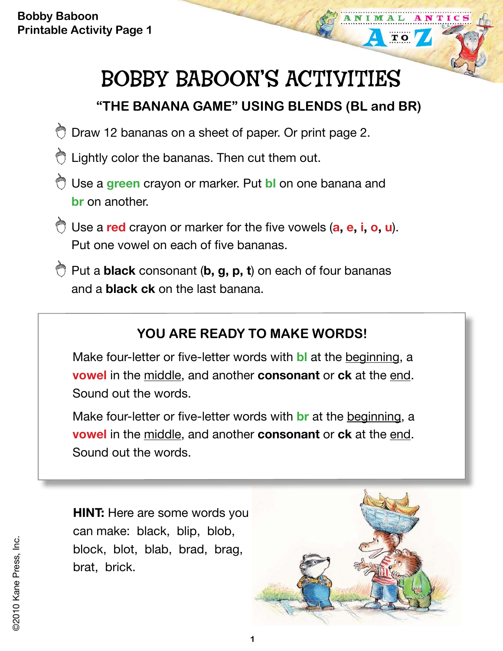**Bobby Baboon Printable Activity Page 1**

# BOBBY BABOON'S ACTIVITIES

## **"THE BANANA GAME" USING BLENDS (BL and BR)**

- O Draw 12 bananas on a sheet of paper. Or print page 2.
- C Lightly color the bananas. Then cut them out.
- Use a **green** crayon or marker. Put **bl** on one banana and **br** on another.
- Use a **red** crayon or marker for the five vowels (**a, e, i, o, u**). Put one vowel on each of five bananas.
- Put a **black** consonant (**b, g, p, t**) on each of four bananas and a **black ck** on the last banana.

### **YOU ARE READY TO MAKE WORDS!**

Make four-letter or five-letter words with **bl** at the beginning, a **vowel** in the middle, and another **consonant** or **ck** at the end. Sound out the words.

Make four-letter or five-letter words with **br** at the beginning, a **vowel** in the middle, and another **consonant** or **ck** at the end. Sound out the words.

**HINT:** Here are some words you can make: black, blip, blob, block, blot, blab, brad, brag, brat, brick.



**TO**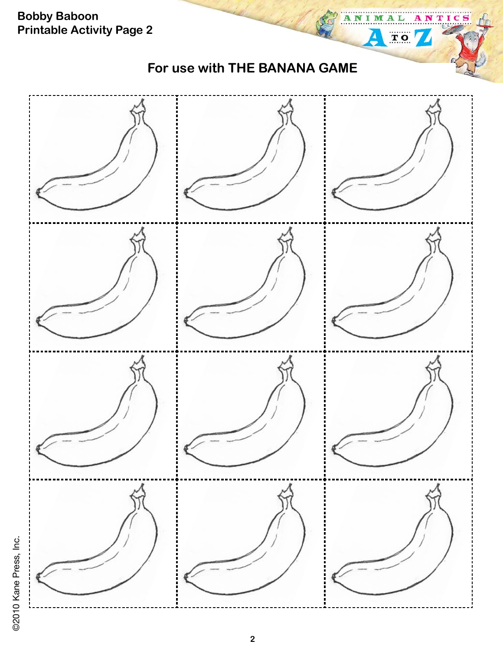

@2010 Kane Press, Inc. ©2010 Kane Press, Inc.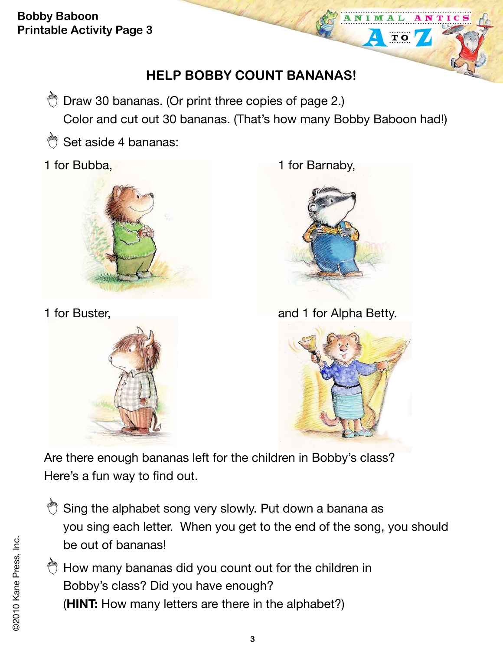**Bobby Baboon Printable Activity Page 3**

### **HELP BOBBY COUNT BANANAS!**

O Draw 30 bananas. (Or print three copies of page 2.) Color and cut out 30 bananas. (That's how many Bobby Baboon had!)

Set aside 4 bananas:





1 for Bubba, 1 for Barnaby,



 $\overline{\mathbf{T}}$  O

1 for Buster, **and 1 for Alpha Betty.** 



Are there enough bananas left for the children in Bobby's class? Here's a fun way to find out.

- Sing the alphabet song very slowly. Put down a banana as you sing each letter. When you get to the end of the song, you should be out of bananas!
- $\bigcirc$  How many bananas did you count out for the children in Bobby's class? Did you have enough? (**HINT:** How many letters are there in the alphabet?)